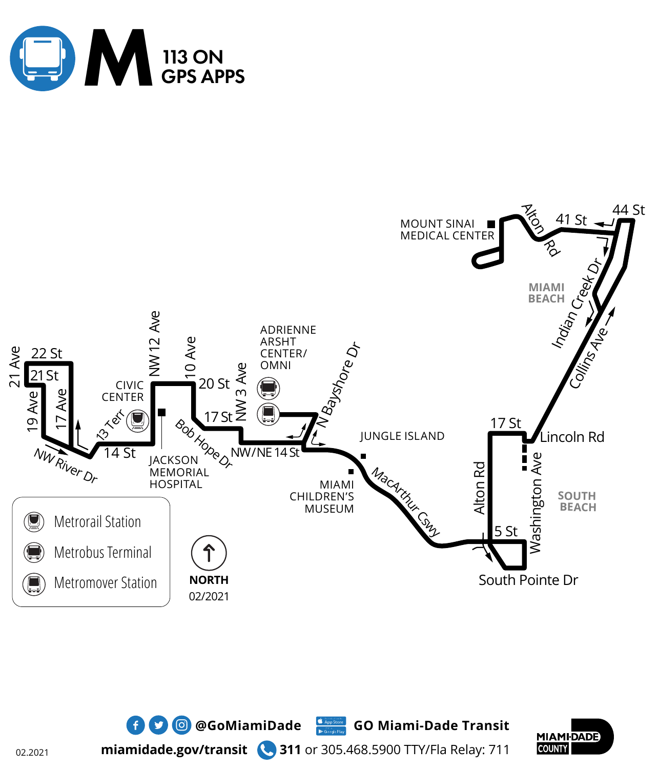





**miamidade.gov/transit 311** or 305.468.5900 TTY/Fla Relay: 711

 $\bullet$  **0 @**GoMiamiDade Go Miami-Dade Transit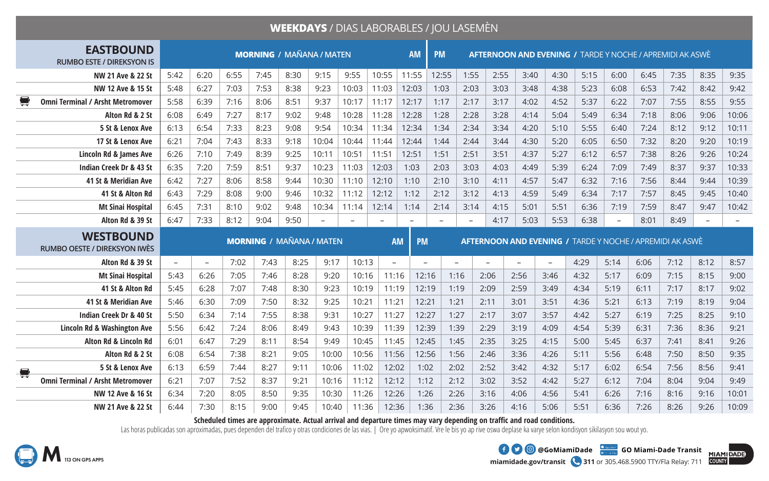## **WEEKDAYS** / DIAS LABORABLES / JOU LASEMÈN

| <b>EASTBOUND</b><br><b>RUMBO ESTE / DIREKSYON IS</b>                    | <b>MORNING / MAÑANA / MATEN</b><br><b>AM</b> |                          |      |      |                                 |                   |                          |                          |                          | <b>PM</b><br><b>AFTERNOON AND EVENING / TARDE Y NOCHE / APREMIDI AK ASWÈ</b> |                   |                          |          |                          |      |                   |      |                                                                 |                          |       |
|-------------------------------------------------------------------------|----------------------------------------------|--------------------------|------|------|---------------------------------|-------------------|--------------------------|--------------------------|--------------------------|------------------------------------------------------------------------------|-------------------|--------------------------|----------|--------------------------|------|-------------------|------|-----------------------------------------------------------------|--------------------------|-------|
| NW 21 Ave & 22 St                                                       | 5:42                                         | 6:20                     | 6:55 | 7:45 | 8:30                            | 9:15              | 9:55                     | 10:55                    | 11:55                    | 12:55                                                                        | 1:55              | 2:55                     | 3:40     | 4:30                     | 5:15 | 6:00              | 6:45 | 7:35                                                            | 8:35                     | 9:35  |
| NW 12 Ave & 15 St                                                       | 5:48                                         | 6:27                     | 7:03 | 7:53 | 8:38                            | 9:23              | 10:03                    | 11:03                    | 12:03                    | 1:03                                                                         | 2:03              | 3:03                     | 3:48     | 4:38                     | 5:23 | 6:08              | 6:53 | 7:42                                                            | 8:42                     | 9:42  |
| 号<br><b>Omni Terminal / Arsht Metromover</b>                            | 5:58                                         | 6:39                     | 7:16 | 8:06 | 8:51                            | 9:37              | 10:17                    | 11:17                    | 12:17                    | 1:17                                                                         | 2:17              | 3:17                     | 4:02     | 4:52                     | 5:37 | 6:22              | 7:07 | 7:55                                                            | 8:55                     | 9:55  |
| Alton Rd & 2 St                                                         | 6:08                                         | 6:49                     | 7:27 | 8:17 | 9:02                            | 9:48              | 10:28                    | 11:28                    | 12:28                    | 1:28                                                                         | 2:28              | 3:28                     | 4:14     | 5:04                     | 5:49 | 6:34              | 7:18 | 8:06                                                            | 9:06                     | 10:06 |
| 5 St & Lenox Ave                                                        | 6:13                                         | 6:54                     | 7:33 | 8:23 | 9:08                            | 9:54              | 10:34                    | 11:34                    | 12:34                    | 1:34                                                                         | 2:34              | 3:34                     | 4:20     | 5:10                     | 5:55 | 6:40              | 7:24 | 8:12                                                            | 9:12                     | 10:11 |
| 17 St & Lenox Ave                                                       | 6:21                                         | 7:04                     | 7:43 | 8:33 | 9:18                            | 10:04             | 10:44                    | 11:44                    | 12:44                    | 1:44                                                                         | 2:44              | 3:44                     | 4:30     | 5:20                     | 6:05 | 6:50              | 7:32 | 8:20                                                            | 9:20                     | 10:19 |
| Lincoln Rd & James Ave                                                  | 6:26                                         | 7:10                     | 7:49 | 8:39 | 9:25                            | 10:11             | 10:51                    | 11:51                    | 12:51                    | 1:51                                                                         | 2:51              | 3:51                     | 4:37     | 5:27                     | 6:12 | 6:57              | 7:38 | 8:26                                                            | 9:26                     | 10:24 |
| Indian Creek Dr & 43 St                                                 | 6:35                                         | 7:20                     | 7:59 | 8:51 | 9:37                            | 10:23             | 11:03                    | 12:03                    | 1:03                     | 2:03                                                                         | 3:03              | 4:03                     | 4:49     | 5:39                     | 6:24 | 7:09              | 7:49 | 8:37                                                            | 9:37                     | 10:33 |
| 41 St & Meridian Ave                                                    | 6:42                                         | 7:27                     | 8:06 | 8:58 | 9:44                            | 10:30             | 11:10                    | 12:10                    | 1:10                     | 2:10                                                                         | 3:10              | 4:11                     | 4:57     | 5:47                     | 6:32 | 7:16              | 7:56 | 8:44                                                            | 9:44                     | 10:39 |
| 41 St & Alton Rd                                                        | 6:43                                         | 7:29                     | 8:08 | 9:00 | 9:46                            | 10:32             | 11:12                    | 12:12                    | 1:12                     | 2:12                                                                         | 3:12              | 4:13                     | 4:59     | 5:49                     | 6:34 | 7:17              | 7:57 | 8:45                                                            | 9:45                     | 10:40 |
| <b>Mt Sinai Hospital</b>                                                | 6:45                                         | 7:31                     | 8:10 | 9:02 | 9:48                            | 10:34             | 11:14                    | 12:14                    | 1:14                     | 2:14                                                                         | 3:14              | 4:15                     | 5:01     | 5:51                     | 6:36 | 7:19              | 7:59 | 8:47                                                            | 9:47                     | 10:42 |
| Alton Rd & 39 St                                                        | 6:47                                         | 7:33                     | 8:12 | 9:04 | 9:50                            | $\qquad \qquad -$ | $\overline{\phantom{0}}$ | $\overline{\phantom{0}}$ |                          | $\overline{\phantom{m}}$                                                     | $\qquad \qquad -$ | 4:17                     | 5:03     | 5:53                     | 6:38 | $\qquad \qquad -$ | 8:01 | 8:49                                                            | $\overline{\phantom{a}}$ |       |
|                                                                         |                                              |                          |      |      |                                 |                   |                          |                          |                          |                                                                              |                   |                          |          |                          |      |                   |      |                                                                 |                          |       |
| <b>WESTBOUND</b><br><b>RUMBO OESTE / DIREKSYON IWES</b>                 |                                              |                          |      |      | <b>MORNING / MAÑANA / MATEN</b> |                   |                          | <b>AM</b>                | <b>PM</b>                |                                                                              |                   |                          |          |                          |      |                   |      | <b>AFTERNOON AND EVENING / TARDE Y NOCHE / APREMIDI AK ASWÈ</b> |                          |       |
| Alton Rd & 39 St                                                        | $\overline{\phantom{a}}$                     | $\overline{\phantom{0}}$ | 7:02 | 7:43 | 8:25                            | 9:17              | 10:13                    | $\equiv$                 | $\overline{\phantom{a}}$ |                                                                              |                   | $\overline{\phantom{0}}$ | $\equiv$ | $\overline{\phantom{a}}$ | 4:29 | 5:14              | 6:06 | 7:12                                                            | 8:12                     | 8:57  |
| <b>Mt Sinai Hospital</b>                                                | 5:43                                         | 6:26                     | 7:05 | 7:46 | 8:28                            | 9:20              | 10:16                    | 11:16                    | 12:16                    | 1:16                                                                         |                   | 2:06                     | 2:56     | 3:46                     | 4:32 | 5:17              | 6:09 | 7:15                                                            | 8:15                     | 9:00  |
| 41 St & Alton Rd                                                        | 5:45                                         | 6:28                     | 7:07 | 7:48 | 8:30                            | 9:23              | 10:19                    | 11:19                    | 12:19                    | 1:19                                                                         |                   | 2:09                     | 2:59     | 3:49                     | 4:34 | 5:19              | 6:11 | 7:17                                                            | 8:17                     | 9:02  |
| 41 St & Meridian Ave                                                    | 5:46                                         | 6:30                     | 7:09 | 7:50 | 8:32                            | 9:25              | 10:21                    | 11:21                    | 12:21                    | 1:21                                                                         |                   | 2:11                     | 3:01     | 3:51                     | 4:36 | 5:21              | 6:13 | 7:19                                                            | 8:19                     | 9:04  |
| Indian Creek Dr & 40 St                                                 | 5:50                                         | 6:34                     | 7:14 | 7:55 | 8:38                            | 9:31              | 10:27                    | 11:27                    | 12:27                    | 1:27                                                                         |                   | 2:17                     | 3:07     | 3:57                     | 4:42 | 5:27              | 6:19 | 7:25                                                            | 8:25                     | 9:10  |
| Lincoln Rd & Washington Ave                                             | 5:56                                         | 6:42                     | 7:24 | 8:06 | 8:49                            | 9:43              | 10:39                    | 11:39                    | 12:39                    | 1:39                                                                         |                   | 2:29                     | 3:19     | 4:09                     | 4:54 | 5:39              | 6:31 | 7:36                                                            | 8:36                     | 9:21  |
| Alton Rd & Lincoln Rd                                                   | 6:01                                         | 6:47                     | 7:29 | 8:11 | 8:54                            | 9:49              | 10:45                    | 11:45                    | 12:45                    | 1:45                                                                         |                   | 2:35                     | 3:25     | 4:15                     | 5:00 | 5:45              | 6:37 | 7:41                                                            | 8:41                     | 9:26  |
| Alton Rd & 2 St                                                         | 6:08                                         | 6:54                     | 7:38 | 8:21 | 9:05                            | 10:00             | 10:56                    | 11:56                    | 12:56                    |                                                                              | 1:56              | 2:46                     | 3:36     | 4:26                     | 5:11 | 5:56              | 6:48 | 7:50                                                            | 8:50                     | 9:35  |
| 5 St & Lenox Ave                                                        | 6:13                                         | 6:59                     | 7:44 | 8:27 | 9:11                            | 10:06             | 11:02                    | 12:02                    | 1:02                     | 2:02                                                                         |                   | 2:52                     | 3:42     | 4:32                     | 5:17 | 6:02              | 6:54 | 7:56                                                            | 8:56                     | 9:41  |
| $\qquad \qquad \blacksquare$<br><b>Omni Terminal / Arsht Metromover</b> | 6:21                                         | 7:07                     | 7:52 | 8:37 | 9:21                            | 10:16             | 11:12                    | 12:12                    | 1:12                     | 2:12                                                                         |                   | 3:02                     | 3:52     | 4:42                     | 5:27 | 6:12              | 7:04 | 8:04                                                            | 9:04                     | 9:49  |
| NW 12 Ave & 16 St                                                       | 6:34                                         | 7:20                     | 8:05 | 8:50 | 9:35                            | 10:30             | 11:26                    | 12:26                    | 1:26                     |                                                                              | 2:26              | 3:16                     | 4:06     | 4:56                     | 5:41 | 6:26              | 7:16 | 8:16                                                            | 9:16                     | 10:01 |

**Scheduled times are approximate. Actual arrival and departure times may vary depending on traffic and road conditions.**

Las horas publicadas son aproximadas, pues dependen del trafico y otras condiciones de las vias. | Ore yo apwoksimatif. Vre le bis yo ap rive oswa deplase ka varye selon kondisyon sikilasyon sou wout yo.





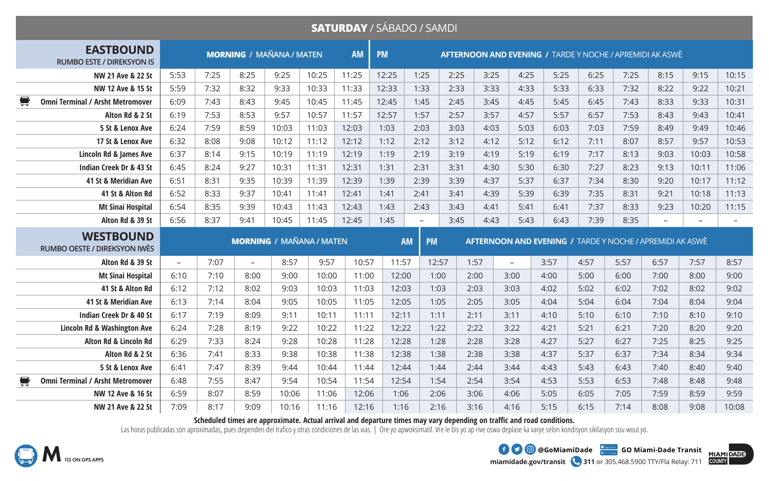## **SATURDAY** / SÁBADO / SAMDI

| <b>EASTBOUND</b><br><b>RUMBO ESTE / DIREKSYON IS</b>      | <b>MORNING / MAÑANA / MATEN</b> |      |                          |       |                                 |       | <b>PM</b> | <b>AFTERNOON AND EVENING / TARDE Y NOCHE / APREMIDI AK ASWÈ</b> |           |      |          |                                                                 |      |      |                          |                          |                          |
|-----------------------------------------------------------|---------------------------------|------|--------------------------|-------|---------------------------------|-------|-----------|-----------------------------------------------------------------|-----------|------|----------|-----------------------------------------------------------------|------|------|--------------------------|--------------------------|--------------------------|
| NW 21 Ave & 22 St                                         | 5:53                            | 7:25 | 8:25                     | 9:25  | 10:25                           | 11:25 | 12:25     | 1:25                                                            | 2:25      | 3:25 | 4:25     | 5:25                                                            | 6:25 | 7:25 | 8:15                     | 9:15                     | 10:15                    |
| NW 12 Ave & 15 St                                         | 5:59                            | 7:32 | 8:32                     | 9:33  | 10:33                           | 11:33 | 12:33     | 1:33                                                            | 2:33      | 3:33 | 4:33     | 5:33                                                            | 6:33 | 7:32 | 8:22                     | 9:22                     | 10:21                    |
| ş<br><b>Omni Terminal / Arsht Metromover</b>              | 6:09                            | 7:43 | 8:43                     | 9:45  | 10:45                           | 11:45 | 12:45     | 1:45                                                            | 2:45      | 3:45 | 4:45     | 5:45                                                            | 6:45 | 7:43 | 8:33                     | 9:33                     | 10:31                    |
| Alton Rd & 2 St                                           | 6:19                            | 7:53 | 8:53                     | 9:57  | 10:57                           | 11:57 | 12:57     | 1:57                                                            | 2:57      | 3:57 | 4:57     | 5:57                                                            | 6:57 | 7:53 | 8:43                     | 9:43                     | 10:41                    |
| 5 St & Lenox Ave                                          | 6:24                            | 7:59 | 8:59                     | 10:03 | 11:03                           | 12:03 | 1:03      | 2:03                                                            | 3:03      | 4:03 | 5:03     | 6:03                                                            | 7:03 | 7:59 | 8:49                     | 9:49                     | 10:46                    |
| 17 St & Lenox Ave                                         | 6:32                            | 8:08 | 9:08                     | 10:12 | 11:12                           | 12:12 | 1:12      | 2:12                                                            | 3:12      | 4:12 | 5:12     | 6:12                                                            | 7:11 | 8:07 | 8:57                     | 9:57                     | 10:53                    |
| Lincoln Rd & James Ave                                    | 6:37                            | 8:14 | 9:15                     | 10:19 | 11:19                           | 12:19 | 1:19      | 2:19                                                            | 3:19      | 4:19 | 5:19     | 6:19                                                            | 7:17 | 8:13 | 9:03                     | 10:03                    | 10:58                    |
| Indian Creek Dr & 43 St                                   | 6:45                            | 8:24 | 9:27                     | 10:31 | 11:31                           | 12:31 | 1:31      | 2:31                                                            | 3:31      | 4:30 | 5:30     | 6:30                                                            | 7:27 | 8:23 | 9:13                     | 10:11                    | 11:06                    |
| 41 St & Meridian Ave                                      | 6:51                            | 8:31 | 9:35                     | 10:39 | 11:39                           | 12:39 | 1:39      | 2:39                                                            | 3:39      | 4:37 | 5:37     | 6:37                                                            | 7:34 | 8:30 | 9:20                     | 10:17                    | 11:12                    |
| 41 St & Alton Rd                                          | 6:52                            | 8:33 | 9:37                     | 10:41 | 11:41                           | 12:41 | 1:41      | 2:41                                                            | 3:41      | 4:39 | 5:39     | 6:39                                                            | 7:35 | 8:31 | 9:21                     | 10:18                    | 11:13                    |
| <b>Mt Sinai Hospital</b>                                  | 6:54                            | 8:35 | 9:39                     | 10:43 | 11:43                           | 12:43 | 1:43      | 2:43                                                            | 3:43      | 4:41 | 5:41     | 6:41                                                            | 7:37 | 8:33 | 9:23                     | 10:20                    | 11:15                    |
| Alton Rd & 39 St                                          | 6:56                            | 8:37 | 9:41                     | 10:45 | 11:45                           | 12:45 | 1:45      | $\overline{\phantom{a}}$                                        | 3:45      | 4:43 | 5:43     | 6:43                                                            | 7:39 | 8:35 | $\overline{\phantom{a}}$ | $\overline{\phantom{a}}$ | $\overline{\phantom{a}}$ |
|                                                           |                                 |      |                          |       |                                 |       |           |                                                                 |           |      |          |                                                                 |      |      |                          |                          |                          |
| <b>WESTBOUND</b><br><b>RUMBO OESTE / DIREKSYON IWÈS</b>   |                                 |      |                          |       | <b>MORNING / MAÑANA / MATEN</b> |       |           | <b>AM</b>                                                       | <b>PM</b> |      |          | <b>AFTERNOON AND EVENING / TARDE Y NOCHE / APREMIDI AK ASWÈ</b> |      |      |                          |                          |                          |
| Alton Rd & 39 St                                          | $\equiv$                        | 7:07 | $\overline{\phantom{a}}$ | 8:57  | 9:57                            | 10:57 | 11:57     |                                                                 | 12:57     | 1:57 | $\equiv$ | 3:57                                                            | 4:57 | 5:57 | 6:57                     | 7:57                     | 8:57                     |
| <b>Mt Sinai Hospital</b>                                  | 6:10                            | 7:10 | 8:00                     | 9:00  | 10:00                           | 11:00 | 12:00     |                                                                 | 1:00      | 2:00 | 3:00     | 4:00                                                            | 5:00 | 6:00 | 7:00                     | 8:00                     | 9:00                     |
| 41 St & Alton Rd                                          | 6:12                            | 7:12 | 8:02                     | 9:03  | 10:03                           | 11:03 | 12:03     |                                                                 | 1:03      | 2:03 | 3:03     | 4:02                                                            | 5:02 | 6:02 | 7:02                     | 8:02                     | 9:02                     |
| 41 St & Meridian Ave                                      | 6:13                            | 7:14 | 8:04                     | 9:05  | 10:05                           | 11:05 | 12:05     |                                                                 | 1:05      | 2:05 | 3:05     | 4:04                                                            | 5:04 | 6:04 | 7:04                     | 8:04                     | 9:04                     |
| Indian Creek Dr & 40 St                                   | 6:17                            | 7:19 | 8:09                     | 9:11  | 10:11                           | 11:11 | 12:11     |                                                                 | 1:11      | 2:11 | 3:11     | 4:10                                                            | 5:10 | 6:10 | 7:10                     | 8:10                     | 9:10                     |
| <b>Lincoln Rd &amp; Washington Ave</b>                    | 6:24                            | 7:28 | 8:19                     | 9:22  | 10:22                           | 11:22 | 12:22     |                                                                 | 1:22      | 2:22 | 3:22     | 4:21                                                            | 5:21 | 6:21 | 7:20                     | 8:20                     | 9:20                     |
| Alton Rd & Lincoln Rd                                     | 6:29                            | 7:33 | 8:24                     | 9:28  | 10:28                           | 11:28 | 12:28     |                                                                 | 1:28      | 2:28 | 3:28     | 4:27                                                            | 5:27 | 6:27 | 7:25                     | 8:25                     | 9:25                     |
| Alton Rd & 2 St                                           | 6:36                            | 7:41 | 8:33                     | 9:38  | 10:38                           | 11:38 | 12:38     |                                                                 | 1:38      | 2:38 | 3:38     | 4:37                                                            | 5:37 | 6:37 | 7:34                     | 8:34                     | 9:34                     |
| 5 St & Lenox Ave                                          | 6:41                            | 7:47 | 8:39                     | 9:44  | 10:44                           | 11:44 | 12:44     |                                                                 | 1:44      | 2:44 | 3:44     | 4:43                                                            | 5:43 | 6:43 | 7:40                     | 8:40                     | 9:40                     |
| $\blacksquare$<br><b>Omni Terminal / Arsht Metromover</b> | 6:48                            | 7:55 | 8:47                     | 9:54  | 10:54                           | 11:54 | 12:54     |                                                                 | 1:54      | 2:54 | 3:54     | 4:53                                                            | 5:53 | 6:53 | 7:48                     | 8:48                     | 9:48                     |
| NW 12 Ave & 16 St                                         | 6:59                            | 8:07 | 8:59                     | 10:06 | 11:06                           | 12:06 | 1:06      |                                                                 | 2:06      | 3:06 | 4:06     | 5:05                                                            | 6:05 | 7:05 | 7:59                     | 8:59                     | 9:59                     |

**Scheduled times are approximate. Actual arrival and departure times may vary depending on traffic and road conditions.**

Las horas publicadas son aproximadas, pues dependen del trafico y otras condiciones de las vias. | Ore yo apwoksimatif. Vre le bis yo ap rive oswa deplase ka varye selon kondisyon sikilasyon sou wout yo.



**miamidade.gov/transit 311** or 305.468.5900 TTY/Fla Relay: 711 **1 @** @GoMiamiDade **GADISCE GO Miami-Dade Transit**